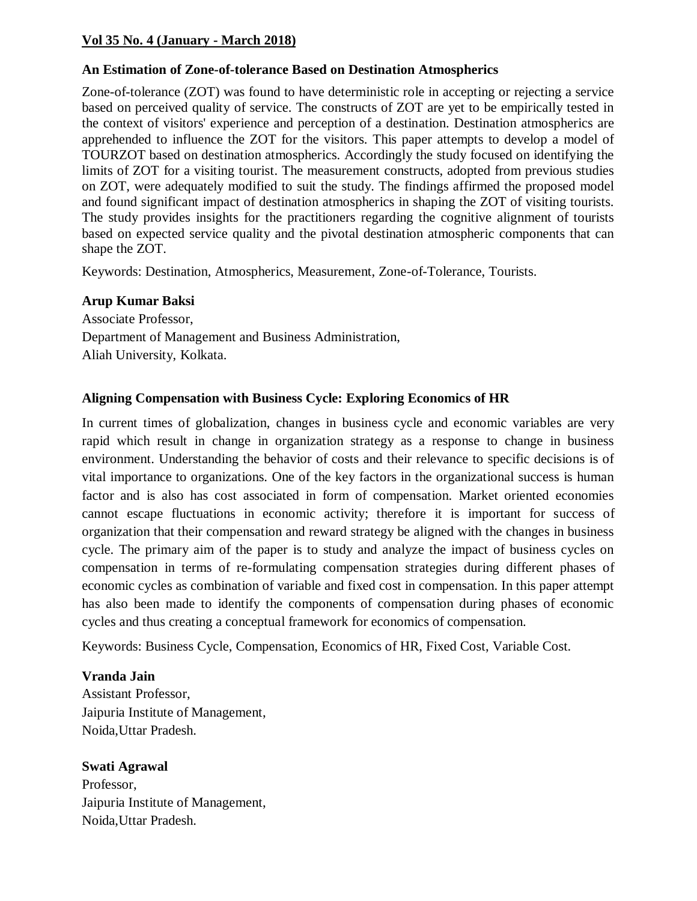## **Vol 35 No. 4 (January - March 2018)**

## **An Estimation of Zone-of-tolerance Based on Destination Atmospherics**

Zone-of-tolerance (ZOT) was found to have deterministic role in accepting or rejecting a service based on perceived quality of service. The constructs of ZOT are yet to be empirically tested in the context of visitors' experience and perception of a destination. Destination atmospherics are apprehended to influence the ZOT for the visitors. This paper attempts to develop a model of TOURZOT based on destination atmospherics. Accordingly the study focused on identifying the limits of ZOT for a visiting tourist. The measurement constructs, adopted from previous studies on ZOT, were adequately modified to suit the study. The findings affirmed the proposed model and found significant impact of destination atmospherics in shaping the ZOT of visiting tourists. The study provides insights for the practitioners regarding the cognitive alignment of tourists based on expected service quality and the pivotal destination atmospheric components that can shape the ZOT.

Keywords: Destination, Atmospherics, Measurement, Zone-of-Tolerance, Tourists.

#### **Arup Kumar Baksi**

Associate Professor, Department of Management and Business Administration, Aliah University, Kolkata.

## **Aligning Compensation with Business Cycle: Exploring Economics of HR**

In current times of globalization, changes in business cycle and economic variables are very rapid which result in change in organization strategy as a response to change in business environment. Understanding the behavior of costs and their relevance to specific decisions is of vital importance to organizations. One of the key factors in the organizational success is human factor and is also has cost associated in form of compensation. Market oriented economies cannot escape fluctuations in economic activity; therefore it is important for success of organization that their compensation and reward strategy be aligned with the changes in business cycle. The primary aim of the paper is to study and analyze the impact of business cycles on compensation in terms of re-formulating compensation strategies during different phases of economic cycles as combination of variable and fixed cost in compensation. In this paper attempt has also been made to identify the components of compensation during phases of economic cycles and thus creating a conceptual framework for economics of compensation.

Keywords: Business Cycle, Compensation, Economics of HR, Fixed Cost, Variable Cost.

## **Vranda Jain**

Assistant Professor, Jaipuria Institute of Management, Noida,Uttar Pradesh.

**Swati Agrawal** Professor, Jaipuria Institute of Management, Noida,Uttar Pradesh.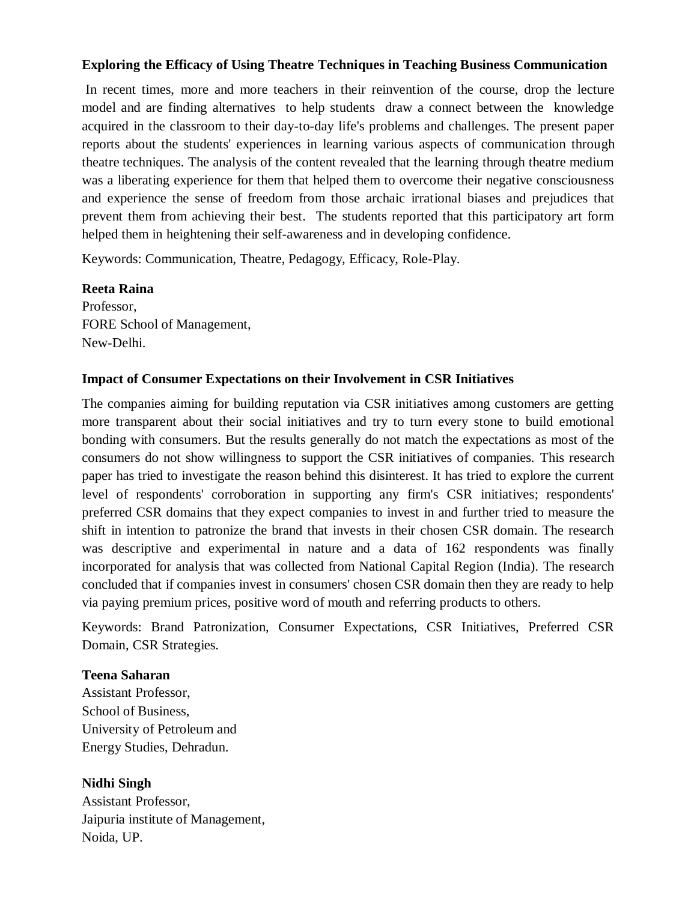#### **Exploring the Efficacy of Using Theatre Techniques in Teaching Business Communication**

In recent times, more and more teachers in their reinvention of the course, drop the lecture model and are finding alternatives to help students draw a connect between the knowledge acquired in the classroom to their day-to-day life's problems and challenges. The present paper reports about the students' experiences in learning various aspects of communication through theatre techniques. The analysis of the content revealed that the learning through theatre medium was a liberating experience for them that helped them to overcome their negative consciousness and experience the sense of freedom from those archaic irrational biases and prejudices that prevent them from achieving their best. The students reported that this participatory art form helped them in heightening their self-awareness and in developing confidence.

Keywords: Communication, Theatre, Pedagogy, Efficacy, Role-Play.

#### **Reeta Raina**

Professor, FORE School of Management, New-Delhi.

#### **Impact of Consumer Expectations on their Involvement in CSR Initiatives**

The companies aiming for building reputation via CSR initiatives among customers are getting more transparent about their social initiatives and try to turn every stone to build emotional bonding with consumers. But the results generally do not match the expectations as most of the consumers do not show willingness to support the CSR initiatives of companies. This research paper has tried to investigate the reason behind this disinterest. It has tried to explore the current level of respondents' corroboration in supporting any firm's CSR initiatives; respondents' preferred CSR domains that they expect companies to invest in and further tried to measure the shift in intention to patronize the brand that invests in their chosen CSR domain. The research was descriptive and experimental in nature and a data of 162 respondents was finally incorporated for analysis that was collected from National Capital Region (India). The research concluded that if companies invest in consumers' chosen CSR domain then they are ready to help via paying premium prices, positive word of mouth and referring products to others.

Keywords: Brand Patronization, Consumer Expectations, CSR Initiatives, Preferred CSR Domain, CSR Strategies.

#### **Teena Saharan**

Assistant Professor, School of Business, University of Petroleum and Energy Studies, Dehradun.

## **Nidhi Singh**

Assistant Professor, Jaipuria institute of Management, Noida, UP.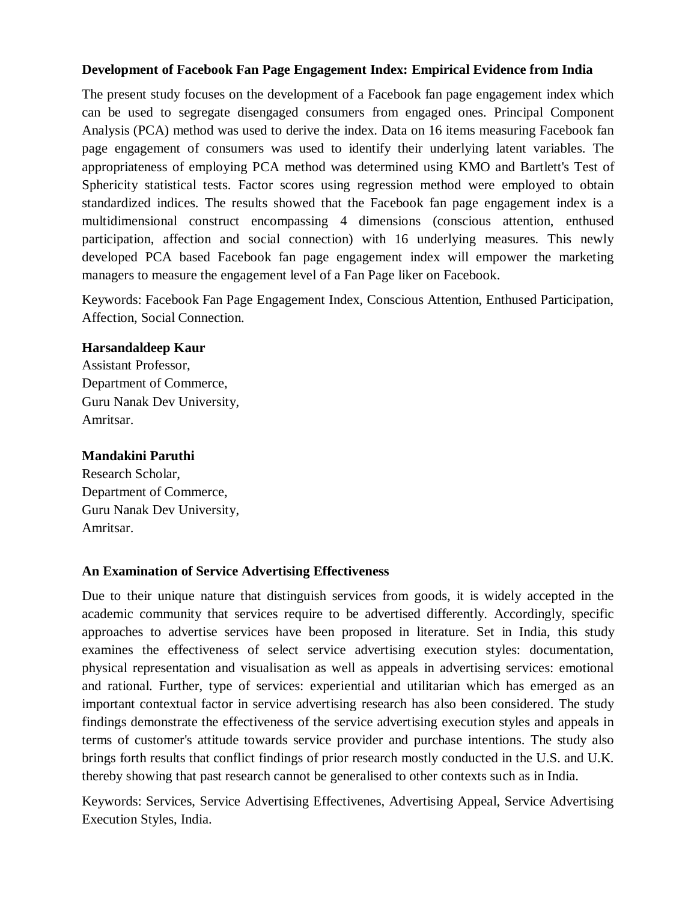#### **Development of Facebook Fan Page Engagement Index: Empirical Evidence from India**

The present study focuses on the development of a Facebook fan page engagement index which can be used to segregate disengaged consumers from engaged ones. Principal Component Analysis (PCA) method was used to derive the index. Data on 16 items measuring Facebook fan page engagement of consumers was used to identify their underlying latent variables. The appropriateness of employing PCA method was determined using KMO and Bartlett's Test of Sphericity statistical tests. Factor scores using regression method were employed to obtain standardized indices. The results showed that the Facebook fan page engagement index is a multidimensional construct encompassing 4 dimensions (conscious attention, enthused participation, affection and social connection) with 16 underlying measures. This newly developed PCA based Facebook fan page engagement index will empower the marketing managers to measure the engagement level of a Fan Page liker on Facebook.

Keywords: Facebook Fan Page Engagement Index, Conscious Attention, Enthused Participation, Affection, Social Connection.

#### **Harsandaldeep Kaur**

Assistant Professor, Department of Commerce, Guru Nanak Dev University, Amritsar.

#### **Mandakini Paruthi**

Research Scholar, Department of Commerce, Guru Nanak Dev University, Amritsar.

## **An Examination of Service Advertising Effectiveness**

Due to their unique nature that distinguish services from goods, it is widely accepted in the academic community that services require to be advertised differently. Accordingly, specific approaches to advertise services have been proposed in literature. Set in India, this study examines the effectiveness of select service advertising execution styles: documentation, physical representation and visualisation as well as appeals in advertising services: emotional and rational. Further, type of services: experiential and utilitarian which has emerged as an important contextual factor in service advertising research has also been considered. The study findings demonstrate the effectiveness of the service advertising execution styles and appeals in terms of customer's attitude towards service provider and purchase intentions. The study also brings forth results that conflict findings of prior research mostly conducted in the U.S. and U.K. thereby showing that past research cannot be generalised to other contexts such as in India.

Keywords: Services, Service Advertising Effectivenes, Advertising Appeal, Service Advertising Execution Styles, India.